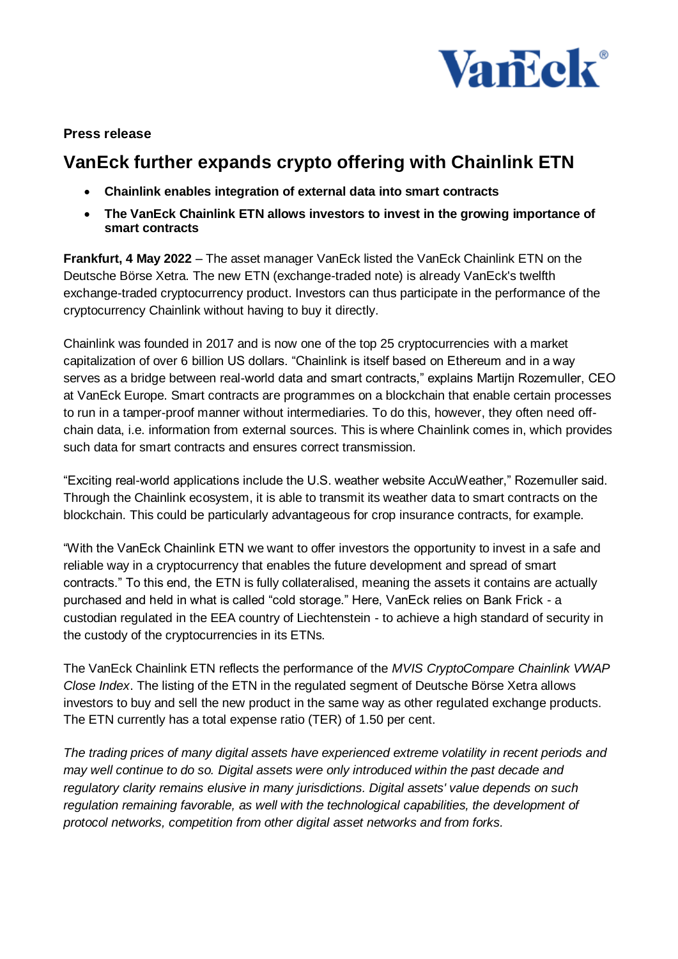

## **Press release**

# **VanEck further expands crypto offering with Chainlink ETN**

- **Chainlink enables integration of external data into smart contracts**
- **The VanEck Chainlink ETN allows investors to invest in the growing importance of smart contracts**

**Frankfurt, 4 May 2022** – The asset manager VanEck listed the VanEck Chainlink ETN on the Deutsche Börse Xetra. The new ETN (exchange-traded note) is already VanEck's twelfth exchange-traded cryptocurrency product. Investors can thus participate in the performance of the cryptocurrency Chainlink without having to buy it directly.

Chainlink was founded in 2017 and is now one of the top 25 cryptocurrencies with a market capitalization of over 6 billion US dollars. "Chainlink is itself based on Ethereum and in a way serves as a bridge between real-world data and smart contracts," explains Martijn Rozemuller, CEO at VanEck Europe. Smart contracts are programmes on a blockchain that enable certain processes to run in a tamper-proof manner without intermediaries. To do this, however, they often need offchain data, i.e. information from external sources. This is where Chainlink comes in, which provides such data for smart contracts and ensures correct transmission.

"Exciting real-world applications include the U.S. weather website AccuWeather," Rozemuller said. Through the Chainlink ecosystem, it is able to transmit its weather data to smart contracts on the blockchain. This could be particularly advantageous for crop insurance contracts, for example.

"With the VanEck Chainlink ETN we want to offer investors the opportunity to invest in a safe and reliable way in a cryptocurrency that enables the future development and spread of smart contracts." To this end, the ETN is fully collateralised, meaning the assets it contains are actually purchased and held in what is called "cold storage." Here, VanEck relies on Bank Frick - a custodian regulated in the EEA country of Liechtenstein - to achieve a high standard of security in the custody of the cryptocurrencies in its ETNs.

The VanEck Chainlink ETN reflects the performance of the *MVIS CryptoCompare Chainlink VWAP Close Index*. The listing of the ETN in the regulated segment of Deutsche Börse Xetra allows investors to buy and sell the new product in the same way as other regulated exchange products. The ETN currently has a total expense ratio (TER) of 1.50 per cent.

*The trading prices of many digital assets have experienced extreme volatility in recent periods and may well continue to do so. Digital assets were only introduced within the past decade and regulatory clarity remains elusive in many jurisdictions. Digital assets' value depends on such*  regulation remaining favorable, as well with the technological capabilities, the development of *protocol networks, competition from other digital asset networks and from forks.*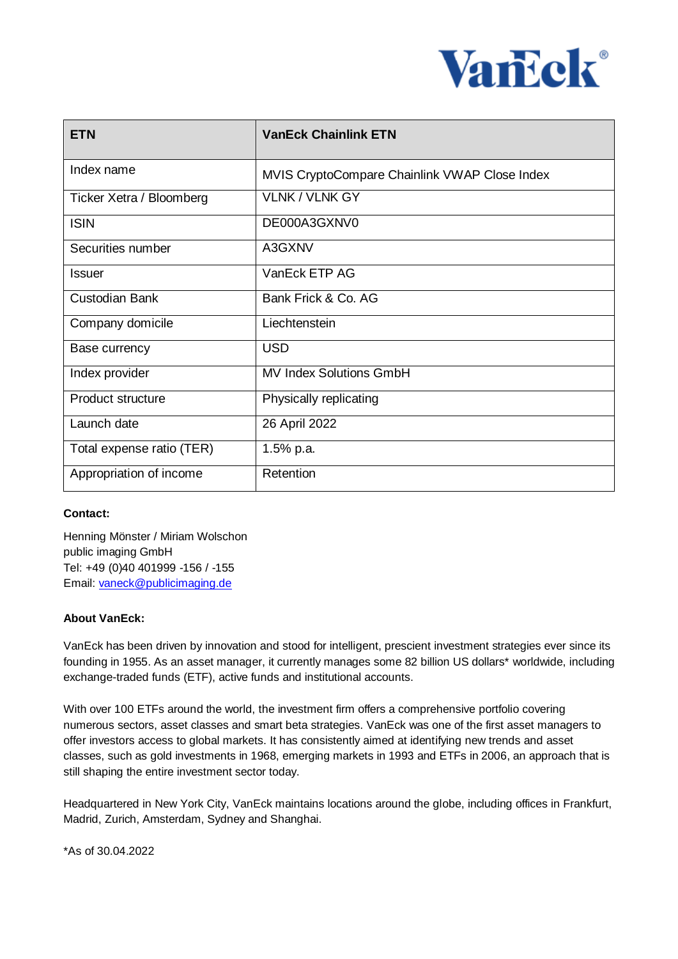

| <b>ETN</b>                | <b>VanEck Chainlink ETN</b>                   |
|---------------------------|-----------------------------------------------|
| Index name                | MVIS CryptoCompare Chainlink VWAP Close Index |
| Ticker Xetra / Bloomberg  | <b>VLNK / VLNK GY</b>                         |
| <b>ISIN</b>               | DE000A3GXNV0                                  |
| Securities number         | A3GXNV                                        |
| <b>Issuer</b>             | VanEck ETP AG                                 |
| <b>Custodian Bank</b>     | Bank Frick & Co. AG                           |
| Company domicile          | Liechtenstein                                 |
| Base currency             | <b>USD</b>                                    |
| Index provider            | <b>MV Index Solutions GmbH</b>                |
| <b>Product structure</b>  | Physically replicating                        |
| Launch date               | 26 April 2022                                 |
| Total expense ratio (TER) | 1.5% p.a.                                     |
| Appropriation of income   | Retention                                     |

#### **Contact:**

Henning Mönster / Miriam Wolschon public imaging GmbH Tel: +49 (0)40 401999 -156 / -155 Email: [vaneck@publicimaging.de](mailto:vaneck@publicimaging.de)

### **About VanEck:**

VanEck has been driven by innovation and stood for intelligent, prescient investment strategies ever since its founding in 1955. As an asset manager, it currently manages some 82 billion US dollars\* worldwide, including exchange-traded funds (ETF), active funds and institutional accounts.

With over 100 ETFs around the world, the investment firm offers a comprehensive portfolio covering numerous sectors, asset classes and smart beta strategies. VanEck was one of the first asset managers to offer investors access to global markets. It has consistently aimed at identifying new trends and asset classes, such as gold investments in 1968, emerging markets in 1993 and ETFs in 2006, an approach that is still shaping the entire investment sector today.

Headquartered in New York City, VanEck maintains locations around the globe, including offices in Frankfurt, Madrid, Zurich, Amsterdam, Sydney and Shanghai.

\*As of 30.04.2022